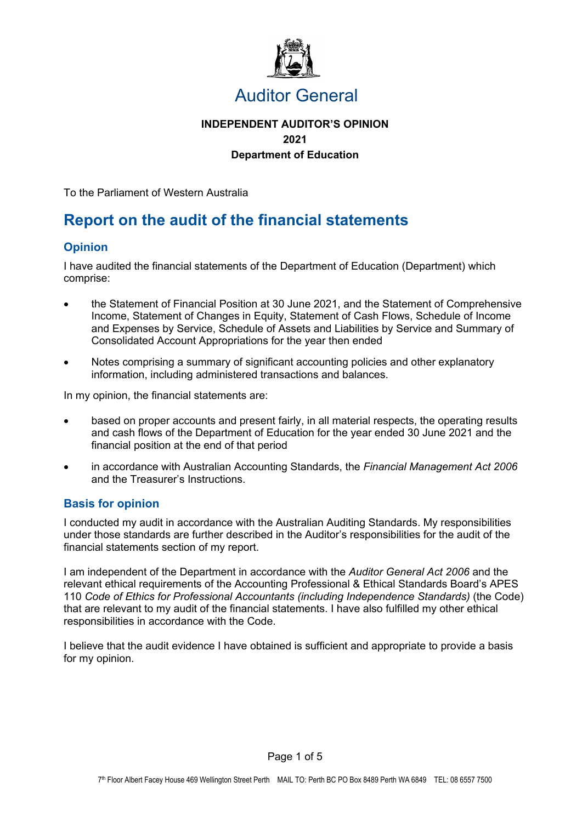

# Auditor General

## **INDEPENDENT AUDITOR'S OPINION 2021 Department of Education**

To the Parliament of Western Australia

# **Report on the audit of the financial statements**

## **Opinion**

I have audited the financial statements of the Department of Education (Department) which comprise:

- the Statement of Financial Position at 30 June 2021, and the Statement of Comprehensive Income, Statement of Changes in Equity, Statement of Cash Flows, Schedule of Income and Expenses by Service, Schedule of Assets and Liabilities by Service and Summary of Consolidated Account Appropriations for the year then ended
- Notes comprising a summary of significant accounting policies and other explanatory information, including administered transactions and balances.

In my opinion, the financial statements are:

- based on proper accounts and present fairly, in all material respects, the operating results and cash flows of the Department of Education for the year ended 30 June 2021 and the financial position at the end of that period
- in accordance with Australian Accounting Standards, the *Financial Management Act 2006* and the Treasurer's Instructions.

## **Basis for opinion**

I conducted my audit in accordance with the Australian Auditing Standards. My responsibilities under those standards are further described in the Auditor's responsibilities for the audit of the financial statements section of my report.

I am independent of the Department in accordance with the *Auditor General Act 2006* and the relevant ethical requirements of the Accounting Professional & Ethical Standards Board's APES 110 *Code of Ethics for Professional Accountants (including Independence Standards)* (the Code) that are relevant to my audit of the financial statements. I have also fulfilled my other ethical responsibilities in accordance with the Code.

I believe that the audit evidence I have obtained is sufficient and appropriate to provide a basis for my opinion.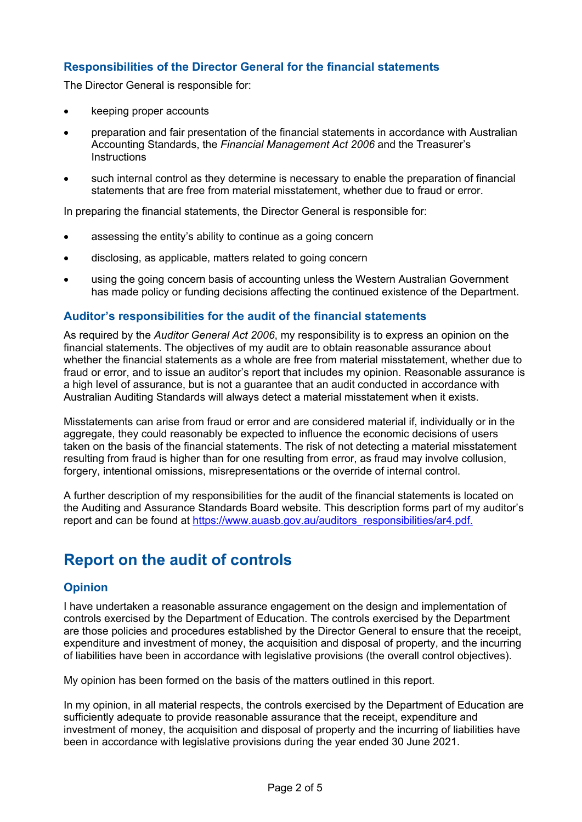## **Responsibilities of the Director General for the financial statements**

The Director General is responsible for:

- keeping proper accounts
- preparation and fair presentation of the financial statements in accordance with Australian Accounting Standards, the *Financial Management Act 2006* and the Treasurer's **Instructions**
- such internal control as they determine is necessary to enable the preparation of financial statements that are free from material misstatement, whether due to fraud or error.

In preparing the financial statements, the Director General is responsible for:

- assessing the entity's ability to continue as a going concern
- disclosing, as applicable, matters related to going concern
- using the going concern basis of accounting unless the Western Australian Government has made policy or funding decisions affecting the continued existence of the Department.

### **Auditor's responsibilities for the audit of the financial statements**

As required by the *Auditor General Act 2006*, my responsibility is to express an opinion on the financial statements. The objectives of my audit are to obtain reasonable assurance about whether the financial statements as a whole are free from material misstatement, whether due to fraud or error, and to issue an auditor's report that includes my opinion. Reasonable assurance is a high level of assurance, but is not a guarantee that an audit conducted in accordance with Australian Auditing Standards will always detect a material misstatement when it exists.

Misstatements can arise from fraud or error and are considered material if, individually or in the aggregate, they could reasonably be expected to influence the economic decisions of users taken on the basis of the financial statements. The risk of not detecting a material misstatement resulting from fraud is higher than for one resulting from error, as fraud may involve collusion, forgery, intentional omissions, misrepresentations or the override of internal control.

A further description of my responsibilities for the audit of the financial statements is located on the Auditing and Assurance Standards Board website. This description forms part of my auditor's report and can be found at https://www.auasb.gov.au/auditors\_responsibilities/ar4.pdf.

# **Report on the audit of controls**

### **Opinion**

I have undertaken a reasonable assurance engagement on the design and implementation of controls exercised by the Department of Education. The controls exercised by the Department are those policies and procedures established by the Director General to ensure that the receipt, expenditure and investment of money, the acquisition and disposal of property, and the incurring of liabilities have been in accordance with legislative provisions (the overall control objectives).

My opinion has been formed on the basis of the matters outlined in this report.

In my opinion, in all material respects, the controls exercised by the Department of Education are sufficiently adequate to provide reasonable assurance that the receipt, expenditure and investment of money, the acquisition and disposal of property and the incurring of liabilities have been in accordance with legislative provisions during the year ended 30 June 2021.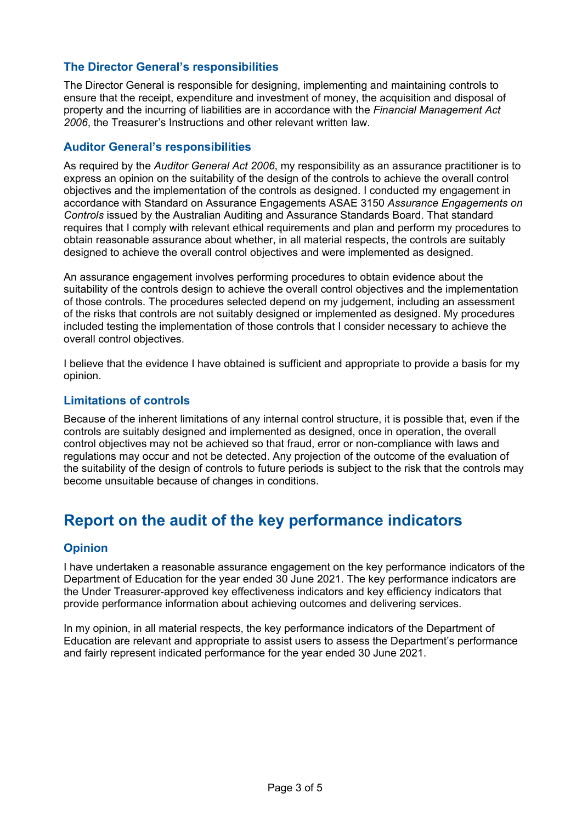## **The Director General's responsibilities**

The Director General is responsible for designing, implementing and maintaining controls to ensure that the receipt, expenditure and investment of money, the acquisition and disposal of property and the incurring of liabilities are in accordance with the *Financial Management Act 2006*, the Treasurer's Instructions and other relevant written law.

### **Auditor General's responsibilities**

As required by the *Auditor General Act 2006*, my responsibility as an assurance practitioner is to express an opinion on the suitability of the design of the controls to achieve the overall control objectives and the implementation of the controls as designed. I conducted my engagement in accordance with Standard on Assurance Engagements ASAE 3150 *Assurance Engagements on Controls* issued by the Australian Auditing and Assurance Standards Board. That standard requires that I comply with relevant ethical requirements and plan and perform my procedures to obtain reasonable assurance about whether, in all material respects, the controls are suitably designed to achieve the overall control objectives and were implemented as designed.

An assurance engagement involves performing procedures to obtain evidence about the suitability of the controls design to achieve the overall control objectives and the implementation of those controls. The procedures selected depend on my judgement, including an assessment of the risks that controls are not suitably designed or implemented as designed. My procedures included testing the implementation of those controls that I consider necessary to achieve the overall control objectives.

I believe that the evidence I have obtained is sufficient and appropriate to provide a basis for my opinion.

### **Limitations of controls**

Because of the inherent limitations of any internal control structure, it is possible that, even if the controls are suitably designed and implemented as designed, once in operation, the overall control objectives may not be achieved so that fraud, error or non-compliance with laws and regulations may occur and not be detected. Any projection of the outcome of the evaluation of the suitability of the design of controls to future periods is subject to the risk that the controls may become unsuitable because of changes in conditions.

## **Report on the audit of the key performance indicators**

#### **Opinion**

I have undertaken a reasonable assurance engagement on the key performance indicators of the Department of Education for the year ended 30 June 2021. The key performance indicators are the Under Treasurer-approved key effectiveness indicators and key efficiency indicators that provide performance information about achieving outcomes and delivering services.

In my opinion, in all material respects, the key performance indicators of the Department of Education are relevant and appropriate to assist users to assess the Department's performance and fairly represent indicated performance for the year ended 30 June 2021.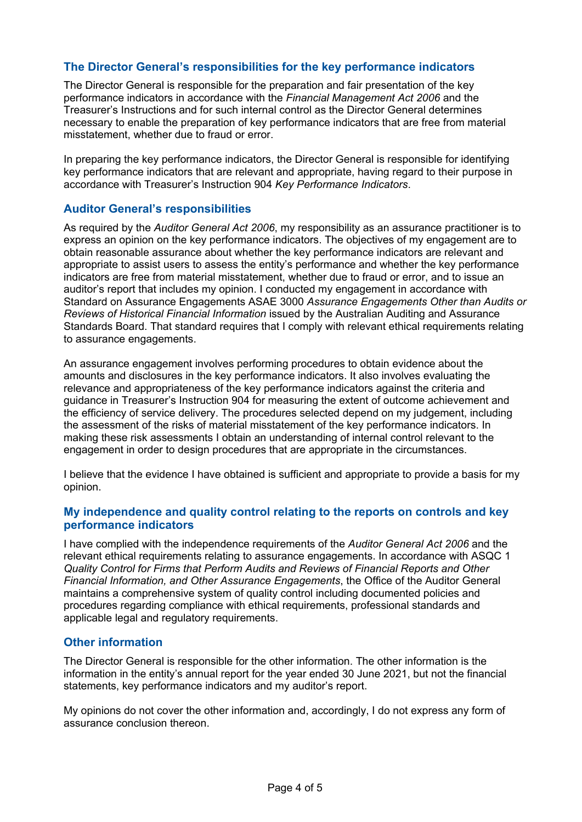### **The Director General's responsibilities for the key performance indicators**

The Director General is responsible for the preparation and fair presentation of the key performance indicators in accordance with the *Financial Management Act 2006* and the Treasurer's Instructions and for such internal control as the Director General determines necessary to enable the preparation of key performance indicators that are free from material misstatement, whether due to fraud or error.

In preparing the key performance indicators, the Director General is responsible for identifying key performance indicators that are relevant and appropriate, having regard to their purpose in accordance with Treasurer's Instruction 904 *Key Performance Indicators*.

#### **Auditor General's responsibilities**

As required by the *Auditor General Act 2006*, my responsibility as an assurance practitioner is to express an opinion on the key performance indicators. The objectives of my engagement are to obtain reasonable assurance about whether the key performance indicators are relevant and appropriate to assist users to assess the entity's performance and whether the key performance indicators are free from material misstatement, whether due to fraud or error, and to issue an auditor's report that includes my opinion. I conducted my engagement in accordance with Standard on Assurance Engagements ASAE 3000 *Assurance Engagements Other than Audits or Reviews of Historical Financial Information* issued by the Australian Auditing and Assurance Standards Board. That standard requires that I comply with relevant ethical requirements relating to assurance engagements.

An assurance engagement involves performing procedures to obtain evidence about the amounts and disclosures in the key performance indicators. It also involves evaluating the relevance and appropriateness of the key performance indicators against the criteria and guidance in Treasurer's Instruction 904 for measuring the extent of outcome achievement and the efficiency of service delivery. The procedures selected depend on my judgement, including the assessment of the risks of material misstatement of the key performance indicators. In making these risk assessments I obtain an understanding of internal control relevant to the engagement in order to design procedures that are appropriate in the circumstances.

I believe that the evidence I have obtained is sufficient and appropriate to provide a basis for my opinion.

#### **My independence and quality control relating to the reports on controls and key performance indicators**

I have complied with the independence requirements of the *Auditor General Act 2006* and the relevant ethical requirements relating to assurance engagements. In accordance with ASQC 1 *Quality Control for Firms that Perform Audits and Reviews of Financial Reports and Other Financial Information, and Other Assurance Engagements*, the Office of the Auditor General maintains a comprehensive system of quality control including documented policies and procedures regarding compliance with ethical requirements, professional standards and applicable legal and regulatory requirements.

### **Other information**

The Director General is responsible for the other information. The other information is the information in the entity's annual report for the year ended 30 June 2021, but not the financial statements, key performance indicators and my auditor's report.

My opinions do not cover the other information and, accordingly, I do not express any form of assurance conclusion thereon.